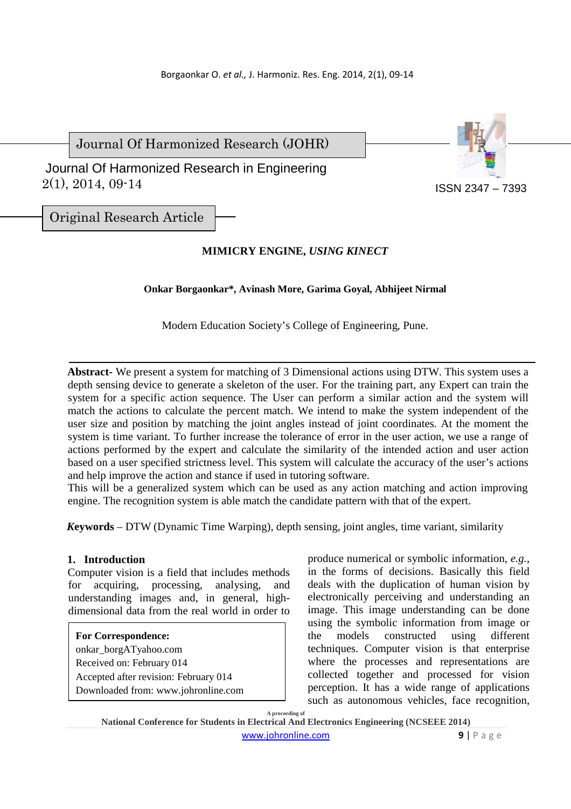Journal Of Harmonized Research (JOHR)

 2(1), 2014, 09-14 Journal Of Harmonized Research in Engineering



Original Research Article

# **MIMICRY ENGINE,** *USING KINECT*

**Onkar Borgaonkar\*, Avinash More, Garima Goyal, Abhijeet Nirmal** 

Modern Education Society's College of Engineering, Pune.

**Abstract-** We present a system for matching of 3 Dimensional actions using DTW. This system uses a depth sensing device to generate a skeleton of the user. For the training part, any Expert can train the system for a specific action sequence. The User can perform a similar action and the system will match the actions to calculate the percent match. We intend to make the system independent of the user size and position by matching the joint angles instead of joint coordinates. At the moment the system is time variant. To further increase the tolerance of error in the user action, we use a range of actions performed by the expert and calculate the similarity of the intended action and user action based on a user specified strictness level. This system will calculate the accuracy of the user's actions and help improve the action and stance if used in tutoring software.

This will be a generalized system which can be used as any action matching and action improving engine. The recognition system is able match the candidate pattern with that of the expert.

*K***eywords** – DTW (Dynamic Time Warping), depth sensing, joint angles, time variant, similarity

### **1. Introduction**

Computer vision is a field that includes methods for acquiring, processing, analysing, and understanding images and, in general, highdimensional data from the real world in order to

**For Correspondence:**  onkar\_borgATyahoo.com Received on: February 014 Accepted after revision: February 014 Downloaded from: www.johronline.com produce numerical or symbolic information, *e.g.*, in the forms of decisions. Basically this field deals with the duplication of human vision by electronically perceiving and understanding an image. This image understanding can be done using the symbolic information from image or the models constructed using different techniques. Computer vision is that enterprise where the processes and representations are collected together and processed for vision perception. It has a wide range of applications such as autonomous vehicles, face recognition,

**A proceeding of National Conference for Students in Electrical And Electronics Engineering (NCSEEE 2014)**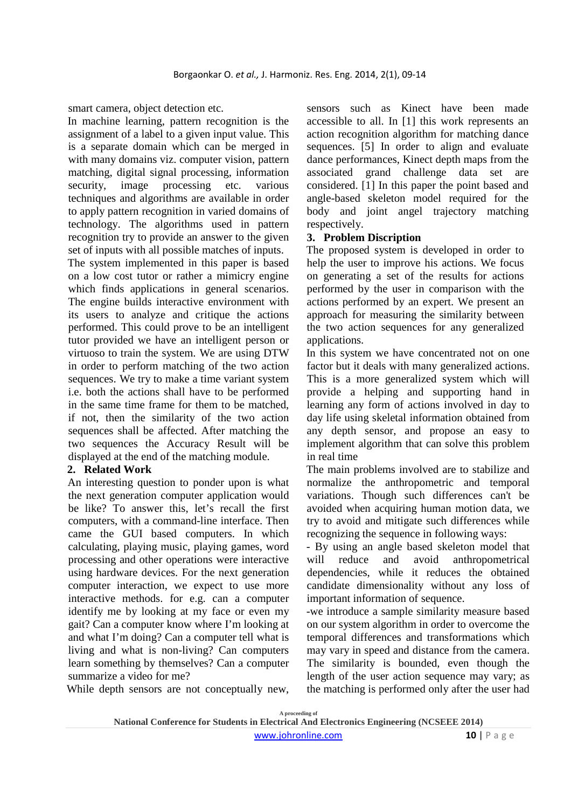smart camera, object detection etc.

In machine learning, pattern recognition is the assignment of a label to a given input value. This is a separate domain which can be merged in with many domains viz. computer vision, pattern matching, digital signal processing, information security, image processing etc. various techniques and algorithms are available in order to apply pattern recognition in varied domains of technology. The algorithms used in pattern recognition try to provide an answer to the given set of inputs with all possible matches of inputs. The system implemented in this paper is based on a low cost tutor or rather a mimicry engine which finds applications in general scenarios. The engine builds interactive environment with its users to analyze and critique the actions performed. This could prove to be an intelligent tutor provided we have an intelligent person or virtuoso to train the system. We are using DTW in order to perform matching of the two action sequences. We try to make a time variant system i.e. both the actions shall have to be performed in the same time frame for them to be matched, if not, then the similarity of the two action sequences shall be affected. After matching the two sequences the Accuracy Result will be displayed at the end of the matching module.

#### **2. Related Work**

An interesting question to ponder upon is what the next generation computer application would be like? To answer this, let's recall the first computers, with a command-line interface. Then came the GUI based computers. In which calculating, playing music, playing games, word processing and other operations were interactive using hardware devices. For the next generation computer interaction, we expect to use more interactive methods. for e.g. can a computer identify me by looking at my face or even my gait? Can a computer know where I'm looking at and what I'm doing? Can a computer tell what is living and what is non-living? Can computers learn something by themselves? Can a computer summarize a video for me?

While depth sensors are not conceptually new.

sensors such as Kinect have been made accessible to all. In [1] this work represents an action recognition algorithm for matching dance sequences. [5] In order to align and evaluate dance performances, Kinect depth maps from the associated grand challenge data set are considered. [1] In this paper the point based and angle-based skeleton model required for the body and joint angel trajectory matching respectively.

#### **3. Problem Discription**

The proposed system is developed in order to help the user to improve his actions. We focus on generating a set of the results for actions performed by the user in comparison with the actions performed by an expert. We present an approach for measuring the similarity between the two action sequences for any generalized applications.

In this system we have concentrated not on one factor but it deals with many generalized actions. This is a more generalized system which will provide a helping and supporting hand in learning any form of actions involved in day to day life using skeletal information obtained from any depth sensor, and propose an easy to implement algorithm that can solve this problem in real time

The main problems involved are to stabilize and normalize the anthropometric and temporal variations. Though such differences can't be avoided when acquiring human motion data, we try to avoid and mitigate such differences while recognizing the sequence in following ways:

- By using an angle based skeleton model that will reduce and avoid anthropometrical dependencies, while it reduces the obtained candidate dimensionality without any loss of important information of sequence.

-we introduce a sample similarity measure based on our system algorithm in order to overcome the temporal differences and transformations which may vary in speed and distance from the camera. The similarity is bounded, even though the length of the user action sequence may vary; as the matching is performed only after the user had

**A proceeding of National Conference for Students in Electrical And Electronics Engineering (NCSEEE 2014)**  www.johronline.com **10** | P a g e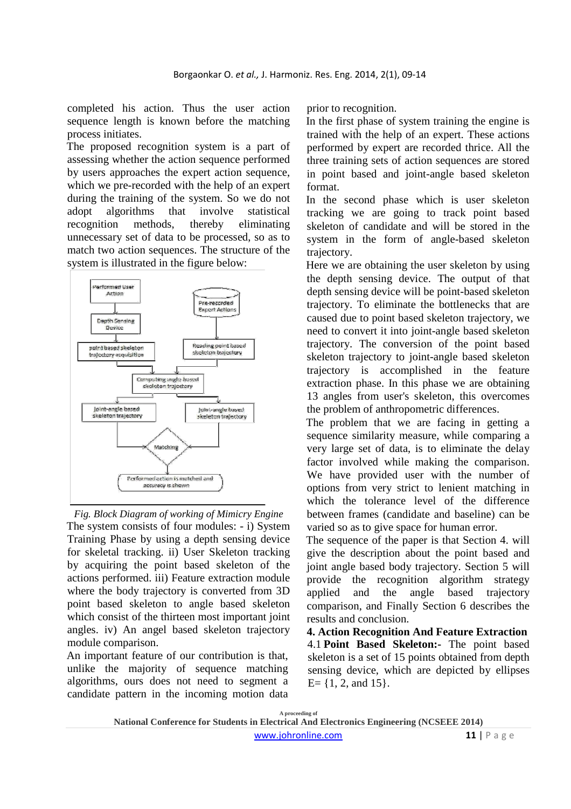completed his action. Thus the user action sequence length is known before the matching process initiates.

The proposed recognition system is a part of assessing whether the action sequence performed by users approaches the expert action sequence, which we pre-recorded with the help of an expert during the training of the system. So we do not adopt algorithms that involve statistical recognition methods, thereby eliminating unnecessary set of data to be processed, so as to match two action sequences. The structure of the system is illustrated in the figure below:



*Fig. Block Diagram of working of Mimicry Engine* The system consists of four modules: - i) System Training Phase by using a depth sensing device for skeletal tracking. ii) User Skeleton tracking by acquiring the point based skeleton of the actions performed. iii) Feature extraction module where the body trajectory is converted from 3D point based skeleton to angle based skeleton which consist of the thirteen most important joint angles. iv) An angel based skeleton trajectory module comparison.

An important feature of our contribution is that, unlike the majority of sequence matching algorithms, ours does not need to segment a candidate pattern in the incoming motion data

prior to recognition.

In the first phase of system training the engine is trained with the help of an expert. These actions performed by expert are recorded thrice. All the three training sets of action sequences are stored in point based and joint-angle based skeleton format.

In the second phase which is user skeleton tracking we are going to track point based skeleton of candidate and will be stored in the system in the form of angle-based skeleton trajectory.

Here we are obtaining the user skeleton by using the depth sensing device. The output of that depth sensing device will be point-based skeleton trajectory. To eliminate the bottlenecks that are caused due to point based skeleton trajectory, we need to convert it into joint-angle based skeleton trajectory. The conversion of the point based skeleton trajectory to joint-angle based skeleton trajectory is accomplished in the feature extraction phase. In this phase we are obtaining 13 angles from user's skeleton, this overcomes the problem of anthropometric differences.

The problem that we are facing in getting a sequence similarity measure, while comparing a very large set of data, is to eliminate the delay factor involved while making the comparison. We have provided user with the number of options from very strict to lenient matching in which the tolerance level of the difference between frames (candidate and baseline) can be varied so as to give space for human error.

The sequence of the paper is that Section 4. will give the description about the point based and joint angle based body trajectory. Section 5 will provide the recognition algorithm strategy applied and the angle based trajectory comparison, and Finally Section 6 describes the results and conclusion.

**4. Action Recognition And Feature Extraction**  4.1 **Point Based Skeleton:-** The point based skeleton is a set of 15 points obtained from depth sensing device, which are depicted by ellipses  $E = \{1, 2, and 15\}.$ 

**A proceeding of**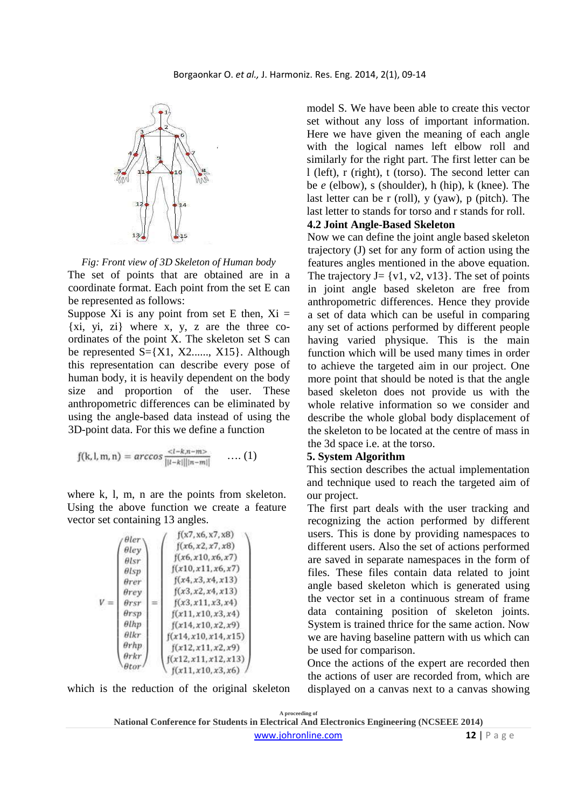

*Fig: Front view of 3D Skeleton of Human body* The set of points that are obtained are in a coordinate format. Each point from the set E can be represented as follows:

Suppose Xi is any point from set E then,  $Xi =$  ${xi, yi, zi}$  where x, y, z are the three coordinates of the point X. The skeleton set S can be represented  $S = \{X1, X2, \ldots, X15\}$ . Although this representation can describe every pose of human body, it is heavily dependent on the body size and proportion of the user. These anthropometric differences can be eliminated by using the angle-based data instead of using the 3D-point data. For this we define a function

$$
f(k, l, m, n) = \arccos \frac{lt-k, n-m}{||l-k|| ||n-m||} \qquad \dots (1)
$$

where k, l, m, n are the points from skeleton. Using the above function we create a feature vector set containing 13 angles.

which is the reduction of the original skeleton

model S. We have been able to create this vector set without any loss of important information. Here we have given the meaning of each angle with the logical names left elbow roll and similarly for the right part. The first letter can be l (left), r (right), t (torso). The second letter can be *e* (elbow), s (shoulder), h (hip), k (knee). The last letter can be r (roll), y (yaw), p (pitch). The last letter to stands for torso and r stands for roll.

#### **4.2 Joint Angle-Based Skeleton**

Now we can define the joint angle based skeleton trajectory (J) set for any form of action using the features angles mentioned in the above equation. The trajectory  $J = \{v1, v2, v13\}$ . The set of points in joint angle based skeleton are free from anthropometric differences. Hence they provide a set of data which can be useful in comparing any set of actions performed by different people having varied physique. This is the main function which will be used many times in order to achieve the targeted aim in our project. One more point that should be noted is that the angle based skeleton does not provide us with the whole relative information so we consider and describe the whole global body displacement of the skeleton to be located at the centre of mass in the 3d space i.e. at the torso.

#### **5. System Algorithm**

This section describes the actual implementation and technique used to reach the targeted aim of our project.

The first part deals with the user tracking and recognizing the action performed by different users. This is done by providing namespaces to different users. Also the set of actions performed are saved in separate namespaces in the form of files. These files contain data related to joint angle based skeleton which is generated using the vector set in a continuous stream of frame data containing position of skeleton joints. System is trained thrice for the same action. Now we are having baseline pattern with us which can be used for comparison.

Once the actions of the expert are recorded then the actions of user are recorded from, which are displayed on a canvas next to a canvas showing

**A proceeding of National Conference for Students in Electrical And Electronics Engineering (NCSEEE 2014)**  www.johronline.com **12** | P a g e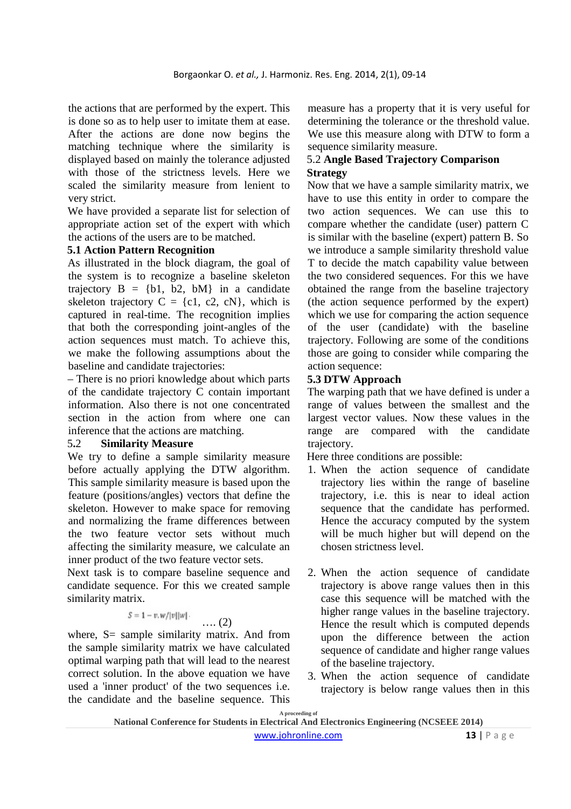the actions that are performed by the expert. This is done so as to help user to imitate them at ease. After the actions are done now begins the matching technique where the similarity is displayed based on mainly the tolerance adjusted with those of the strictness levels. Here we scaled the similarity measure from lenient to very strict.

We have provided a separate list for selection of appropriate action set of the expert with which the actions of the users are to be matched.

### **5.1 Action Pattern Recognition**

As illustrated in the block diagram, the goal of the system is to recognize a baseline skeleton trajectory  $B = \{b1, b2, bM\}$  in a candidate skeleton trajectory  $C = \{c1, c2, cN\}$ , which is captured in real-time. The recognition implies that both the corresponding joint-angles of the action sequences must match. To achieve this, we make the following assumptions about the baseline and candidate trajectories:

– There is no priori knowledge about which parts of the candidate trajectory C contain important information. Also there is not one concentrated section in the action from where one can inference that the actions are matching.

### 5**.**2 **Similarity Measure**

We try to define a sample similarity measure before actually applying the DTW algorithm. This sample similarity measure is based upon the feature (positions/angles) vectors that define the skeleton. However to make space for removing and normalizing the frame differences between the two feature vector sets without much affecting the similarity measure, we calculate an inner product of the two feature vector sets.

Next task is to compare baseline sequence and candidate sequence. For this we created sample similarity matrix.

$$
s = 1 - v \cdot w / |v||w| \cdot \dots (2)
$$

where, S= sample similarity matrix. And from the sample similarity matrix we have calculated optimal warping path that will lead to the nearest correct solution. In the above equation we have used a 'inner product' of the two sequences i.e. the candidate and the baseline sequence. This

measure has a property that it is very useful for determining the tolerance or the threshold value. We use this measure along with DTW to form a sequence similarity measure.

## 5.2 **Angle Based Trajectory Comparison Strategy**

Now that we have a sample similarity matrix, we have to use this entity in order to compare the two action sequences. We can use this to compare whether the candidate (user) pattern C is similar with the baseline (expert) pattern B. So we introduce a sample similarity threshold value T to decide the match capability value between the two considered sequences. For this we have obtained the range from the baseline trajectory (the action sequence performed by the expert) which we use for comparing the action sequence of the user (candidate) with the baseline trajectory. Following are some of the conditions those are going to consider while comparing the action sequence:

### **5.3 DTW Approach**

The warping path that we have defined is under a range of values between the smallest and the largest vector values. Now these values in the range are compared with the candidate trajectory.

Here three conditions are possible:

- 1. When the action sequence of candidate trajectory lies within the range of baseline trajectory, i.e. this is near to ideal action sequence that the candidate has performed. Hence the accuracy computed by the system will be much higher but will depend on the chosen strictness level.
- 2. When the action sequence of candidate trajectory is above range values then in this case this sequence will be matched with the higher range values in the baseline trajectory. Hence the result which is computed depends upon the difference between the action sequence of candidate and higher range values of the baseline trajectory.
- 3. When the action sequence of candidate trajectory is below range values then in this

**A proceeding of** 

**National Conference for Students in Electrical And Electronics Engineering (NCSEEE 2014)**